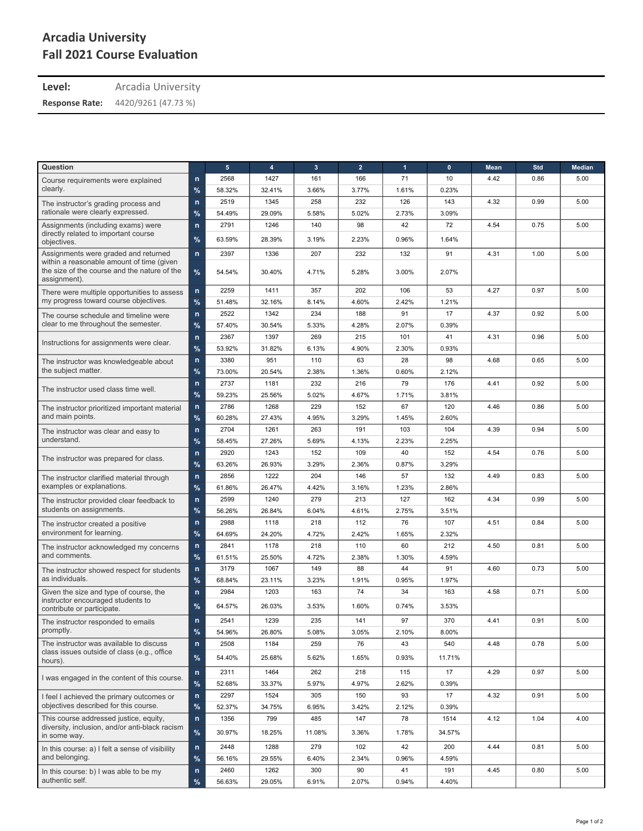## **Arcadia University Fall 2021 Course Evaluation**

**Level:** Arcadia University

4420/9261 (47.73 %) **Response Rate:**

| Question                                                                                                  |              | 5      | $\overline{4}$ | $\mathbf{3}$ | $\overline{2}$ | 1     | $\mathbf{0}$ | <b>Mean</b> | Std  | <b>Median</b> |
|-----------------------------------------------------------------------------------------------------------|--------------|--------|----------------|--------------|----------------|-------|--------------|-------------|------|---------------|
| Course requirements were explained                                                                        | $\mathsf{n}$ | 2568   | 1427           | 161          | 166            | 71    | 10           | 4.42        | 0.86 | 5.00          |
| clearly.                                                                                                  | %            | 58.32% | 32.41%         | 3.66%        | 3.77%          | 1.61% | 0.23%        |             |      |               |
| The instructor's grading process and                                                                      | $\mathsf{n}$ | 2519   | 1345           | 258          | 232            | 126   | 143          | 4.32        | 0.99 | 5.00          |
| rationale were clearly expressed.                                                                         | %            | 54.49% | 29.09%         | 5.58%        | 5.02%          | 2.73% | 3.09%        |             |      |               |
| Assignments (including exams) were                                                                        | $\mathsf{n}$ | 2791   | 1246           | 140          | 98             | 42    | 72           | 4.54        | 0.75 | 5.00          |
| directly related to important course<br>objectives.                                                       | %            | 63.59% | 28.39%         | 3.19%        | 2.23%          | 0.96% | 1.64%        |             |      |               |
| Assignments were graded and returned                                                                      | $\mathsf{n}$ | 2397   | 1336           | 207          | 232            | 132   | 91           | 4.31        | 1.00 | 5.00          |
| within a reasonable amount of time (given<br>the size of the course and the nature of the<br>assignment). | %            | 54.54% | 30.40%         | 4.71%        | 5.28%          | 3.00% | 2.07%        |             |      |               |
| There were multiple opportunities to assess                                                               | $\mathsf{n}$ | 2259   | 1411           | 357          | 202            | 106   | 53           | 4.27        | 0.97 | 5.00          |
| my progress toward course objectives.                                                                     | %            | 51.48% | 32.16%         | 8.14%        | 4.60%          | 2.42% | 1.21%        |             |      |               |
| The course schedule and timeline were                                                                     | $\mathsf{n}$ | 2522   | 1342           | 234          | 188            | 91    | 17           | 4.37        | 0.92 | 5.00          |
| clear to me throughout the semester.                                                                      | %            | 57.40% | 30.54%         | 5.33%        | 4.28%          | 2.07% | 0.39%        |             |      |               |
| Instructions for assignments were clear.                                                                  | $\mathsf{n}$ | 2367   | 1397           | 269          | 215            | 101   | 41           | 4.31        | 0.96 | 5.00          |
|                                                                                                           | $\%$         | 53.92% | 31.82%         | 6.13%        | 4.90%          | 2.30% | 0.93%        |             |      |               |
| The instructor was knowledgeable about                                                                    | $\mathsf{n}$ | 3380   | 951            | 110          | 63             | 28    | 98           | 4.68        | 0.65 | 5.00          |
| the subject matter.                                                                                       | %            | 73.00% | 20.54%         | 2.38%        | 1.36%          | 0.60% | 2.12%        |             |      |               |
| The instructor used class time well.                                                                      | $\mathsf{n}$ | 2737   | 1181           | 232          | 216            | 79    | 176          | 4.41        | 0.92 | 5.00          |
|                                                                                                           | %            | 59.23% | 25.56%         | 5.02%        | 4.67%          | 1.71% | 3.81%        |             |      |               |
| The instructor prioritized important material                                                             | $\mathsf{n}$ | 2786   | 1268           | 229          | 152            | 67    | 120          | 4.46        | 0.86 | 5.00          |
| and main points.                                                                                          | $\%$         | 60.28% | 27.43%         | 4.95%        | 3.29%          | 1.45% | 2.60%        |             |      |               |
| The instructor was clear and easy to                                                                      | $\mathsf{n}$ | 2704   | 1261           | 263          | 191            | 103   | 104          | 4.39        | 0.94 | 5.00          |
| understand.                                                                                               | %            | 58.45% | 27.26%         | 5.69%        | 4.13%          | 2.23% | 2.25%        |             |      |               |
| The instructor was prepared for class.                                                                    | $\mathsf{n}$ | 2920   | 1243           | 152          | 109            | 40    | 152          | 4.54        | 0.76 | 5.00          |
|                                                                                                           | %            | 63.26% | 26.93%         | 3.29%        | 2.36%          | 0.87% | 3.29%        |             |      |               |
| The instructor clarified material through<br>examples or explanations.                                    | $\mathsf{n}$ | 2856   | 1222           | 204          | 146            | 57    | 132          | 4.49        | 0.83 | 5.00          |
|                                                                                                           | %            | 61.86% | 26.47%         | 4.42%        | 3.16%          | 1.23% | 2.86%        |             |      |               |
| The instructor provided clear feedback to                                                                 | $\mathsf{n}$ | 2599   | 1240           | 279          | 213            | 127   | 162          | 4.34        | 0.99 | 5.00          |
| students on assignments.                                                                                  | $\%$         | 56.26% | 26.84%         | 6.04%        | 4.61%          | 2.75% | 3.51%        |             |      |               |
| The instructor created a positive                                                                         | $\mathsf{n}$ | 2988   | 1118           | 218          | 112            | 76    | 107          | 4.51        | 0.84 | 5.00          |
| environment for learning.                                                                                 | %            | 64.69% | 24.20%         | 4.72%        | 2.42%          | 1.65% | 2.32%        |             |      |               |
| The instructor acknowledged my concerns                                                                   | $\mathsf{n}$ | 2841   | 1178           | 218          | 110            | 60    | 212          | 4.50        | 0.81 | 5.00          |
| and comments.                                                                                             | %            | 61.51% | 25.50%         | 4.72%        | 2.38%          | 1.30% | 4.59%        |             |      |               |
| The instructor showed respect for students                                                                | $\mathsf{n}$ | 3179   | 1067           | 149          | 88             | 44    | 91           | 4.60        | 0.73 | 5.00          |
| as individuals.                                                                                           | %            | 68.84% | 23.11%         | 3.23%        | 1.91%          | 0.95% | 1.97%        |             |      |               |
| Given the size and type of course, the                                                                    | $\mathsf{n}$ | 2984   | 1203           | 163          | 74             | 34    | 163          | 4.58        | 0.71 | 5.00          |
| instructor encouraged students to<br>contribute or participate.                                           | %            | 64.57% | 26.03%         | 3.53%        | 1.60%          | 0.74% | 3.53%        |             |      |               |
| The instructor responded to emails                                                                        | $\mathsf{n}$ | 2541   | 1239           | 235          | 141            | 97    | 370          | 4.41        | 0.91 | 5.00          |
| promptly.                                                                                                 | %            | 54.96% | 26.80%         | 5.08%        | 3.05%          | 2.10% | 8.00%        |             |      |               |
| The instructor was available to discuss                                                                   | $\mathsf{n}$ | 2508   | 1184           | 259          | 76             | 43    | 540          | 4.48        | 0.78 | 5.00          |
| class issues outside of class (e.g., office<br>hours).                                                    | $\%$         | 54.40% | 25.68%         | 5.62%        | 1.65%          | 0.93% | 11.71%       |             |      |               |
| I was engaged in the content of this course.                                                              | $\mathsf{n}$ | 2311   | 1464           | 262          | 218            | 115   | 17           | 4.29        | 0.97 | 5.00          |
|                                                                                                           | %            | 52.68% | 33.37%         | 5.97%        | 4.97%          | 2.62% | 0.39%        |             |      |               |
| I feel I achieved the primary outcomes or                                                                 | n            | 2297   | 1524           | 305          | 150            | 93    | 17           | 4.32        | 0.91 | 5.00          |
| objectives described for this course.                                                                     | %            | 52.37% | 34.75%         | 6.95%        | 3.42%          | 2.12% | 0.39%        |             |      |               |
| This course addressed justice, equity,                                                                    | $\mathsf{n}$ | 1356   | 799            | 485          | 147            | 78    | 1514         | 4.12        | 1.04 | 4.00          |
| diversity, inclusion, and/or anti-black racism<br>in some way.                                            | $\%$         | 30.97% | 18.25%         | 11.08%       | 3.36%          | 1.78% | 34.57%       |             |      |               |
| In this course: a) I felt a sense of visibility                                                           | $\mathsf{n}$ | 2448   | 1288           | 279          | 102            | 42    | 200          | 4.44        | 0.81 | 5.00          |
| and belonging.                                                                                            | $\%$         | 56.16% | 29.55%         | 6.40%        | 2.34%          | 0.96% | 4.59%        |             |      |               |
| In this course: b) I was able to be my                                                                    | $\mathsf{n}$ | 2460   | 1262           | 300          | 90             | 41    | 191          | 4.45        | 0.80 | 5.00          |
| authentic self.                                                                                           | $\%$         | 56.63% | 29.05%         | 6.91%        | 2.07%          | 0.94% | 4.40%        |             |      |               |